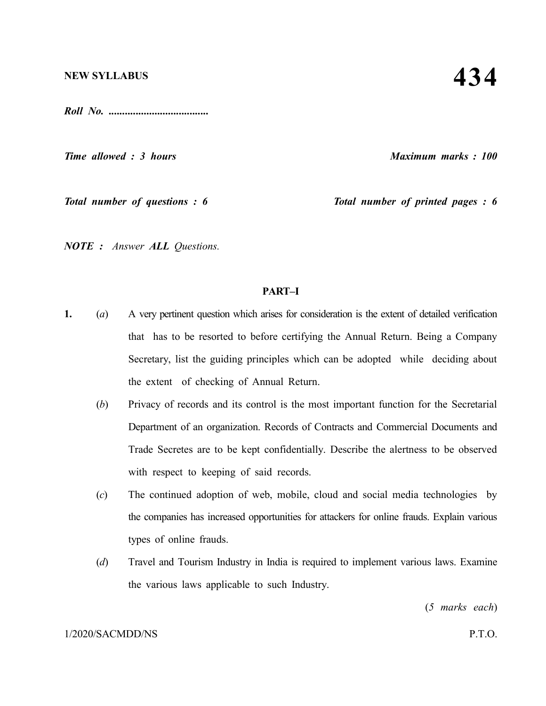*Roll No. .....................................*

*Time allowed : 3 hours Maximum marks : 100*

*Total number of questions : 6 Total number of printed pages : 6*

*NOTE : Answer ALL Questions.*

### **PART–I**

- **1.** (*a*) A very pertinent question which arises for consideration is the extent of detailed verification that has to be resorted to before certifying the Annual Return. Being a Company Secretary, list the guiding principles which can be adopted while deciding about the extent of checking of Annual Return.
	- (*b*) Privacy of records and its control is the most important function for the Secretarial Department of an organization. Records of Contracts and Commercial Documents and Trade Secretes are to be kept confidentially. Describe the alertness to be observed with respect to keeping of said records.
	- (*c*) The continued adoption of web, mobile, cloud and social media technologies by the companies has increased opportunities for attackers for online frauds. Explain various types of online frauds.
	- (*d*) Travel and Tourism Industry in India is required to implement various laws. Examine the various laws applicable to such Industry.

(*5 marks each*)

### 1/2020/SACMDD/NS P.T.O.

# **434**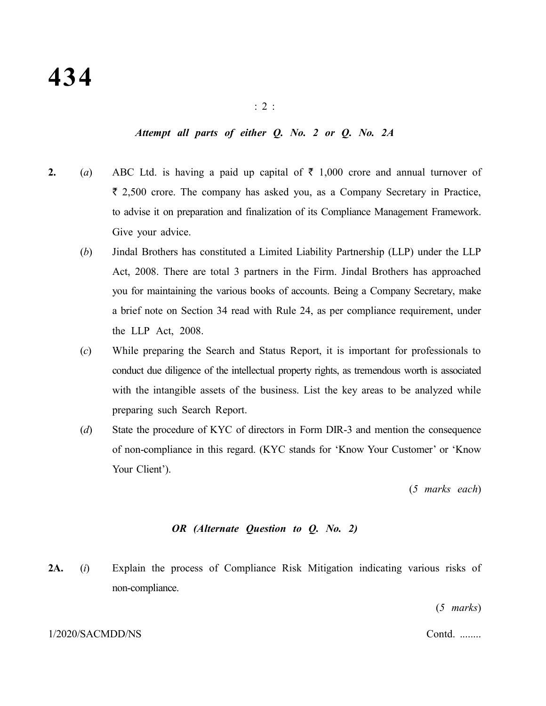### *Attempt all parts of either Q. No. 2 or Q. No. 2A*

- **2.** (*a*) ABC Ltd. is having a paid up capital of  $\bar{\tau}$  1,000 crore and annual turnover of  $\bar{\tau}$  2,500 crore. The company has asked you, as a Company Secretary in Practice, to advise it on preparation and finalization of its Compliance Management Framework. Give your advice.
	- (*b*) Jindal Brothers has constituted a Limited Liability Partnership (LLP) under the LLP Act, 2008. There are total 3 partners in the Firm. Jindal Brothers has approached you for maintaining the various books of accounts. Being a Company Secretary, make a brief note on Section 34 read with Rule 24, as per compliance requirement, under the LLP Act, 2008.
	- (*c*) While preparing the Search and Status Report, it is important for professionals to conduct due diligence of the intellectual property rights, as tremendous worth is associated with the intangible assets of the business. List the key areas to be analyzed while preparing such Search Report.
	- (*d*) State the procedure of KYC of directors in Form DIR-3 and mention the consequence of non-compliance in this regard. (KYC stands for 'Know Your Customer' or 'Know Your Client').

(*5 marks each*)

### *OR (Alternate Question to Q. No. 2)*

**2A.** (*i*) Explain the process of Compliance Risk Mitigation indicating various risks of non-compliance.

(*5 marks*)

### 1/2020/SACMDD/NS Contd. ........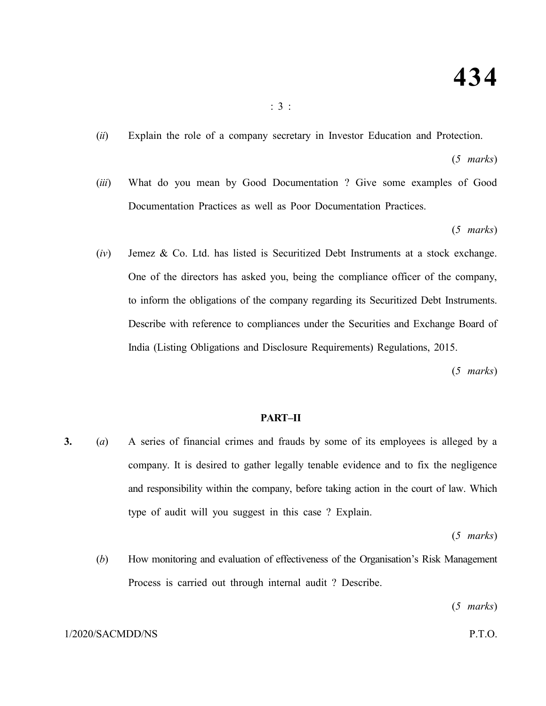(*ii*) Explain the role of a company secretary in Investor Education and Protection.

(*5 marks*)

(*iii*) What do you mean by Good Documentation ? Give some examples of Good Documentation Practices as well as Poor Documentation Practices.

(*5 marks*)

(*iv*) Jemez & Co. Ltd. has listed is Securitized Debt Instruments at a stock exchange. One of the directors has asked you, being the compliance officer of the company, to inform the obligations of the company regarding its Securitized Debt Instruments. Describe with reference to compliances under the Securities and Exchange Board of India (Listing Obligations and Disclosure Requirements) Regulations, 2015.

(*5 marks*)

### **PART–II**

**3.** (*a*) A series of financial crimes and frauds by some of its employees is alleged by a company. It is desired to gather legally tenable evidence and to fix the negligence and responsibility within the company, before taking action in the court of law. Which type of audit will you suggest in this case ? Explain.

(*5 marks*)

(*b*) How monitoring and evaluation of effectiveness of the Organisation's Risk Management Process is carried out through internal audit ? Describe.

(*5 marks*)

### 1/2020/SACMDD/NS P.T.O.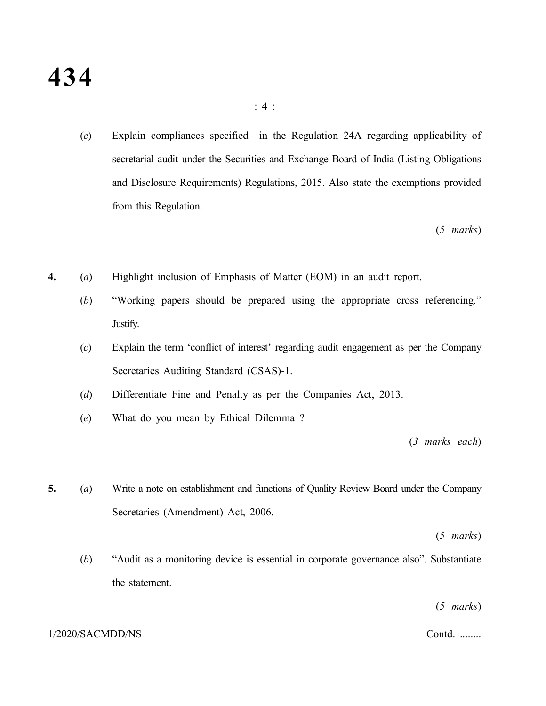(*c*) Explain compliances specified in the Regulation 24A regarding applicability of secretarial audit under the Securities and Exchange Board of India (Listing Obligations and Disclosure Requirements) Regulations, 2015. Also state the exemptions provided from this Regulation.

(*5 marks*)

- **4.** (*a*) Highlight inclusion of Emphasis of Matter (EOM) in an audit report.
	- (*b*) "Working papers should be prepared using the appropriate cross referencing." Justify.
	- (*c*) Explain the term 'conflict of interest' regarding audit engagement as per the Company Secretaries Auditing Standard (CSAS)-1.
	- (*d*) Differentiate Fine and Penalty as per the Companies Act, 2013.
	- (*e*) What do you mean by Ethical Dilemma ?

(*3 marks each*)

**5.** (*a*) Write a note on establishment and functions of Quality Review Board under the Company Secretaries (Amendment) Act, 2006.

(*5 marks*)

(*b*) "Audit as a monitoring device is essential in corporate governance also". Substantiate the statement.

(*5 marks*)

### 1/2020/SACMDD/NS Contd. ........

### : 4 :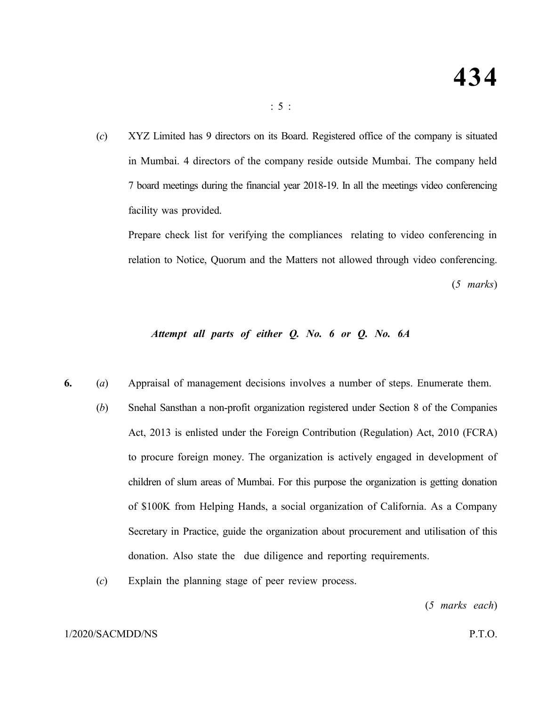(*c*) XYZ Limited has 9 directors on its Board. Registered office of the company is situated in Mumbai. 4 directors of the company reside outside Mumbai. The company held 7 board meetings during the financial year 2018-19. In all the meetings video conferencing facility was provided.

: 5 :

Prepare check list for verifying the compliances relating to video conferencing in relation to Notice, Quorum and the Matters not allowed through video conferencing. (*5 marks*)

### *Attempt all parts of either Q. No. 6 or Q. No. 6A*

- **6.** (*a*) Appraisal of management decisions involves a number of steps. Enumerate them.
	- (*b*) Snehal Sansthan a non-profit organization registered under Section 8 of the Companies Act, 2013 is enlisted under the Foreign Contribution (Regulation) Act, 2010 (FCRA) to procure foreign money. The organization is actively engaged in development of children of slum areas of Mumbai. For this purpose the organization is getting donation of \$100K from Helping Hands, a social organization of California. As a Company Secretary in Practice, guide the organization about procurement and utilisation of this donation. Also state the due diligence and reporting requirements.
	- (*c*) Explain the planning stage of peer review process.

(*5 marks each*)

### 1/2020/SACMDD/NS P.T.O.